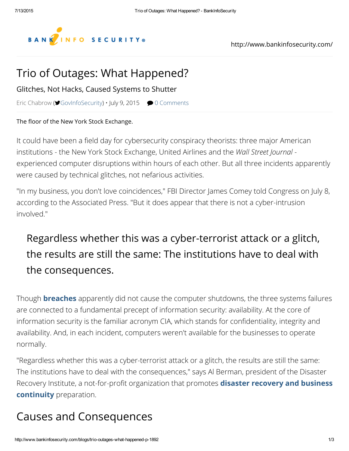

#### Trio of [Outages:](https://googleads.g.doubleclick.net/aclk?sa=L&ai=BI7FdciKkVcXBOc-OMNrjqugG47mqqAgAAAAQASCLq5EdOABYg_ip2aYBYMnGqYvApNgPsgEYd3d3LmJhbmtpbmZvc2VjdXJpdHkuY29tugEJZ2ZwX2ltYWdlyAEC2gFHaHR0cDovL3d3dy5iYW5raW5mb3NlY3VyaXR5LmNvbS9ibG9ncy90cmlvLW91dGFnZXMtd2hhdC1oYXBwZW5lZC1wLTE4OTLAAgLgAgDqAhsvNDQ0NDY5MS9CSVNfTUlEX1JCXzMwMHgyNTD4AoLSHpAD4AOYA-ADqAMByAOZBNAEkE7gBAGQBgGgBhTYBwE&num=0&cid=5Gjwfa_2AJAylIWEBJH3sgg3&sig=AOD64_1U6Xg4tkRBlsZh6d6LgoGnDDDxkg&client=ca-pub-7856527570804860&adurl=http://www.ismgcorp.com/data-breach-prevention-and-response-summit/san-francisco-22) What Happened?

Glitches, Not Hacks, Caused Systems to Shutter

Eric [Chabrow](http://www.bankinfosecurity.com/authors/eric-chabrow-i-249) ( $\blacktriangleright$  [GovInfoSecurity\)](https://www.twitter.com/GovInfoSecurity)  $\cdot$  July 9, 2015  $\blacktriangleright$  0 [Comments](http://www.bankinfosecurity.com/blogs/trifecta-computers-fail-at-elite-firms-p-1892/op-1#disqus_thread)

The floor of the New York Stock Exchange.

It could have been a field day for cybersecurity conspiracy theorists: three major American [institutions](https://disqus.com/) - the New York [Stock](https://disqus.com/websites/?utm_source=bankinfosecurity&utm_medium=Disqus-Footer) Exchange, [United](https://help.disqus.com/customer/portal/articles/1657951?utm_source=disqus&utm_medium=embed-footer&utm_content=privacy-btn) Airlines and the *Wall Street Journal* experienced computer disruptions within hours of each other. But all three incidents apparently were caused by technical glitches, not nefarious activities.

"In my business, you don't love coincidences," FBI Director James Comey told Congress on July 8, according to the Associated Press. "But it does appear that there is not a cyber-intrusion involved."

## Regardless whether this was a cyber-terrorist attack or a glitch, the results are still the same: The institutions have to deal with the [consequences.](https://googleads.g.doubleclick.net/aclk?sa=L&ai=Bp_SxciKkVcjBOc-OMNrjqugGi87ppwgAAAAQASCLq5EdOABYu8asy6YBYMnGqYvApNgPsgEYd3d3LmJhbmtpbmZvc2VjdXJpdHkuY29tugEJZ2ZwX2ltYWdlyAEC2gFHaHR0cDovL3d3dy5iYW5raW5mb3NlY3VyaXR5LmNvbS9ibG9ncy90cmlvLW91dGFnZXMtd2hhdC1oYXBwZW5lZC1wLTE4OTLAAgLgAgDqAhsvNDQ0NDY5MS9CSVNfTUlEX1JCXzMwMHg2MDD4AoLSHpAD4AOYA-ADqAMByAOZBNAEkE7gBAGQBgGgBhTYBwE&num=0&cid=5Gjw7lgnIWfRgl879kz1sdHQ&sig=AOD64_2vAmYvuqJmEaa2w43kGOFGZwd21A&client=ca-pub-7856527570804860&adurl=http://www.ismgcorp.com/fraud-summit/san-francisco-21)

Though **[breaches](http://www.bankinfosecurity.com/breaches-c-318)** apparently did not cause the computer shutdowns, the three systems failures are connected to a fundamental precept of information security: availability. At the core of information security is the familiar acronym CIA, which stands for confidentiality, integrity and availability. And, in each incident, computers weren't available for the businesses to operate normally.

"Regardless whether this was a cyber-terrorist attack or a glitch, the results are still the same: The institutions have to deal with the consequences," says Al Berman, president of the Disaster Recovery Institute, a [not-for-profit](http://www.bankinfosecurity.com/business-continuitydisaster-recovery-c-76) organization that promotes **disaster recovery and business** continuity preparation.

### Causes and Consequences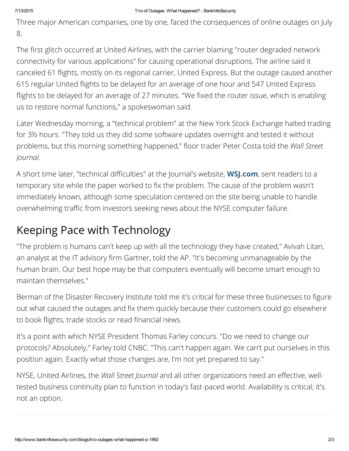Three major American companies, one by one, faced the consequences of online outages on July 8.

The first glitch occurred at United Airlines, with the carrier blaming "router degraded network connectivity for various applications" for causing operational disruptions. The airline said it canceled 61 flights, mostly on its regional carrier, United Express. But the outage caused another 615 regular United flights to be delayed for an average of one hour and 547 United Express flights to be delayed for an average of 27 minutes. "We fixed the router issue, which is enabling us to restore normal functions," a spokeswoman said.

Later Wednesday morning, a "technical problem" at the New York Stock Exchange halted trading for 3½ hours. "They told us they did some software updates overnight and tested it without problems, but this morning something happened," floor trader Peter Costa told the *Wall Street Journal.*

A short time later, "technical difficulties" at the Journal's website, **WSJ.com**, sent readers to a temporary site while the paper worked to fix the problem. The cause of the problem wasn't immediately known, although some speculation centered on the site being unable to handle overwhelming traffic from investors seeking news about the NYSE computer failure.

# Keeping Pace with Technology

"The problem is humans can't keep up with all the technology they have created," Avivah Litan, an analyst at the IT advisory firm Gartner, told the AP. "It's becoming unmanageable by the human brain. Our best hope may be that computers eventually will become smart enough to maintain themselves."

Berman of the Disaster Recovery Institute told me it's critical for these three businesses to figure out what caused the outages and fix them quickly because their customers could go elsewhere to book flights, trade stocks or read financial news.

It's a point with which NYSE President Thomas Farley concurs. "Do we need to change our protocols? Absolutely," Farley told CNBC. "This can't happen again. We can't put ourselves in this position again. Exactly what those changes are, I'm not yet prepared to say."

NYSE, United Airlines, the *Wall Street Journal* and all other organizations need an effective, welltested business continuity plan to function in today's fast-paced world. Availability is critical; it's not an option.